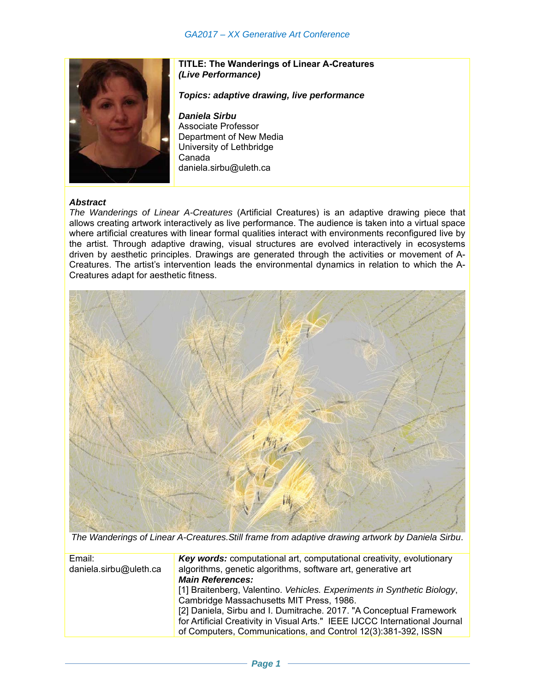

## **TITLE: The Wanderings of Linear A-Creatures**  *(Live Performance)*

*Topics: adaptive drawing, live performance* 

*Daniela Sirbu*  Associate Professor Department of New Media University of Lethbridge Canada daniela.sirbu@uleth.ca

## *Abstract*

*The Wanderings of Linear A-Creatures* (Artificial Creatures) is an adaptive drawing piece that allows creating artwork interactively as live performance. The audience is taken into a virtual space where artificial creatures with linear formal qualities interact with environments reconfigured live by the artist. Through adaptive drawing, visual structures are evolved interactively in ecosystems driven by aesthetic principles. Drawings are generated through the activities or movement of A-Creatures. The artist's intervention leads the environmental dynamics in relation to which the A-Creatures adapt for aesthetic fitness.



*The Wanderings of Linear A-Creatures.Still frame from adaptive drawing artwork by Daniela Sirbu*.

| Email:                 | <b>Key words:</b> computational art, computational creativity, evolutionary |
|------------------------|-----------------------------------------------------------------------------|
| daniela.sirbu@uleth.ca | algorithms, genetic algorithms, software art, generative art                |
|                        | <b>Main References:</b>                                                     |
|                        | [1] Braitenberg, Valentino. Vehicles. Experiments in Synthetic Biology,     |
|                        | Cambridge Massachusetts MIT Press, 1986.                                    |
|                        | [2] Daniela, Sirbu and I. Dumitrache. 2017. "A Conceptual Framework         |
|                        | for Artificial Creativity in Visual Arts." IEEE IJCCC International Journal |
|                        | of Computers, Communications, and Control 12(3):381-392, ISSN               |